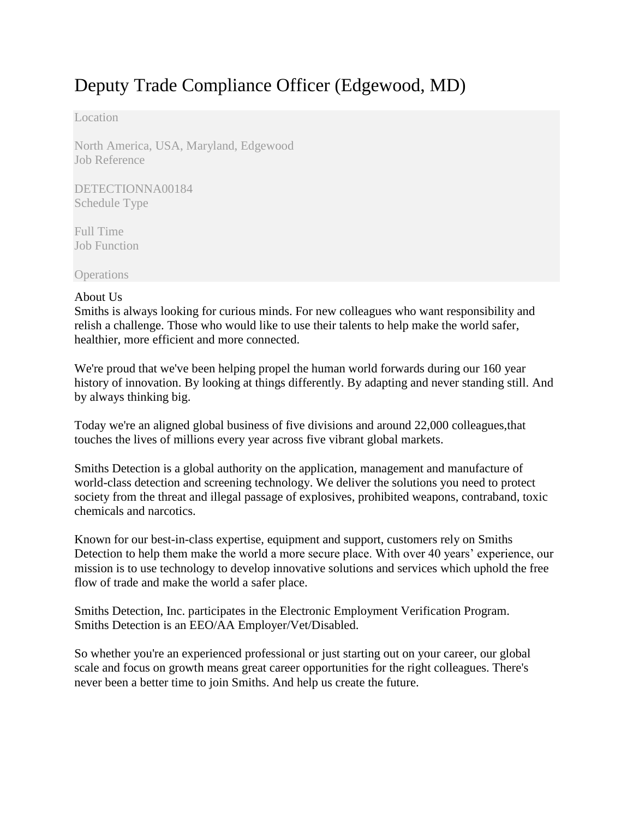# Deputy Trade Compliance Officer (Edgewood, MD)

Location

North America, USA, Maryland, Edgewood Job Reference

DETECTIONNA00184 Schedule Type

Full Time Job Function

**Operations** 

#### About Us

Smiths is always looking for curious minds. For new colleagues who want responsibility and relish a challenge. Those who would like to use their talents to help make the world safer, healthier, more efficient and more connected.

We're proud that we've been helping propel the human world forwards during our 160 year history of innovation. By looking at things differently. By adapting and never standing still. And by always thinking big.

Today we're an aligned global business of five divisions and around 22,000 colleagues,that touches the lives of millions every year across five vibrant global markets.

Smiths Detection is a global authority on the application, management and manufacture of world-class detection and screening technology. We deliver the solutions you need to protect society from the threat and illegal passage of explosives, prohibited weapons, contraband, toxic chemicals and narcotics.

Known for our best-in-class expertise, equipment and support, customers rely on Smiths Detection to help them make the world a more secure place. With over 40 years' experience, our mission is to use technology to develop innovative solutions and services which uphold the free flow of trade and make the world a safer place.

Smiths Detection, Inc. participates in the Electronic Employment Verification Program. Smiths Detection is an EEO/AA Employer/Vet/Disabled.

So whether you're an experienced professional or just starting out on your career, our global scale and focus on growth means great career opportunities for the right colleagues. There's never been a better time to join Smiths. And help us create the future.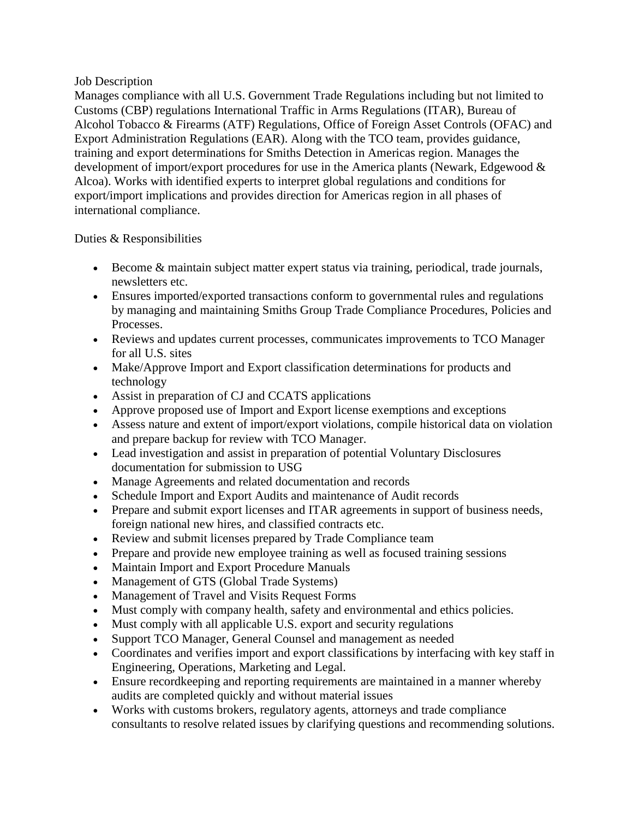#### Job Description

Manages compliance with all U.S. Government Trade Regulations including but not limited to Customs (CBP) regulations International Traffic in Arms Regulations (ITAR), Bureau of Alcohol Tobacco & Firearms (ATF) Regulations, Office of Foreign Asset Controls (OFAC) and Export Administration Regulations (EAR). Along with the TCO team, provides guidance, training and export determinations for Smiths Detection in Americas region. Manages the development of import/export procedures for use in the America plants (Newark, Edgewood & Alcoa). Works with identified experts to interpret global regulations and conditions for export/import implications and provides direction for Americas region in all phases of international compliance.

#### Duties & Responsibilities

- Become & maintain subject matter expert status via training, periodical, trade journals, newsletters etc.
- Ensures imported/exported transactions conform to governmental rules and regulations by managing and maintaining Smiths Group Trade Compliance Procedures, Policies and Processes.
- Reviews and updates current processes, communicates improvements to TCO Manager for all U.S. sites
- Make/Approve Import and Export classification determinations for products and technology
- Assist in preparation of CJ and CCATS applications
- Approve proposed use of Import and Export license exemptions and exceptions
- Assess nature and extent of import/export violations, compile historical data on violation and prepare backup for review with TCO Manager.
- Lead investigation and assist in preparation of potential Voluntary Disclosures documentation for submission to USG
- Manage Agreements and related documentation and records
- Schedule Import and Export Audits and maintenance of Audit records
- Prepare and submit export licenses and ITAR agreements in support of business needs, foreign national new hires, and classified contracts etc.
- Review and submit licenses prepared by Trade Compliance team
- Prepare and provide new employee training as well as focused training sessions
- Maintain Import and Export Procedure Manuals
- Management of GTS (Global Trade Systems)
- Management of Travel and Visits Request Forms
- Must comply with company health, safety and environmental and ethics policies.
- Must comply with all applicable U.S. export and security regulations
- Support TCO Manager, General Counsel and management as needed
- Coordinates and verifies import and export classifications by interfacing with key staff in Engineering, Operations, Marketing and Legal.
- Ensure recordkeeping and reporting requirements are maintained in a manner whereby audits are completed quickly and without material issues
- Works with customs brokers, regulatory agents, attorneys and trade compliance consultants to resolve related issues by clarifying questions and recommending solutions.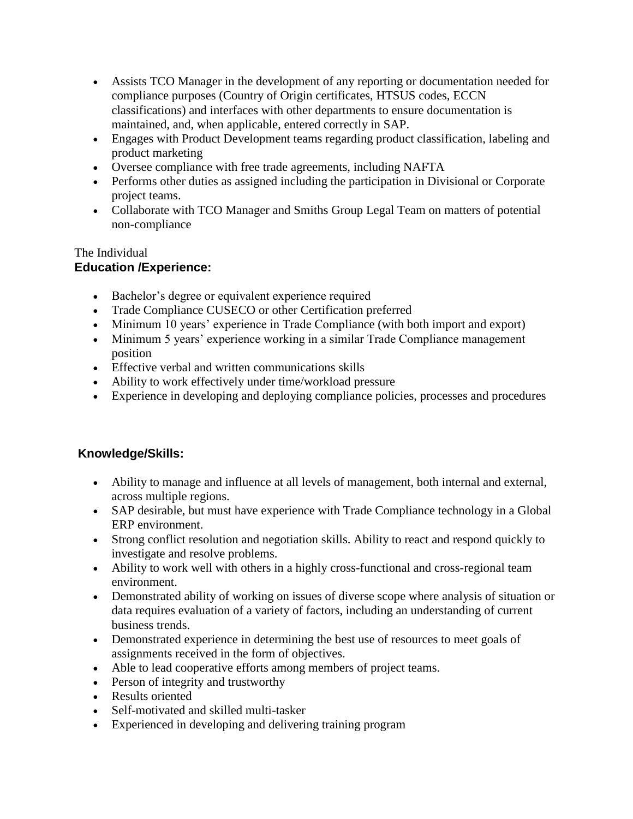- Assists TCO Manager in the development of any reporting or documentation needed for compliance purposes (Country of Origin certificates, HTSUS codes, ECCN classifications) and interfaces with other departments to ensure documentation is maintained, and, when applicable, entered correctly in SAP.
- Engages with Product Development teams regarding product classification, labeling and product marketing
- Oversee compliance with free trade agreements, including NAFTA
- Performs other duties as assigned including the participation in Divisional or Corporate project teams.
- Collaborate with TCO Manager and Smiths Group Legal Team on matters of potential non-compliance

### The Individual **Education /Experience:**

- Bachelor's degree or equivalent experience required
- Trade Compliance CUSECO or other Certification preferred
- Minimum 10 years' experience in Trade Compliance (with both import and export)
- Minimum 5 years' experience working in a similar Trade Compliance management position
- Effective verbal and written communications skills
- Ability to work effectively under time/workload pressure
- Experience in developing and deploying compliance policies, processes and procedures

## **Knowledge/Skills:**

- Ability to manage and influence at all levels of management, both internal and external, across multiple regions.
- SAP desirable, but must have experience with Trade Compliance technology in a Global ERP environment.
- Strong conflict resolution and negotiation skills. Ability to react and respond quickly to investigate and resolve problems.
- Ability to work well with others in a highly cross-functional and cross-regional team environment.
- Demonstrated ability of working on issues of diverse scope where analysis of situation or data requires evaluation of a variety of factors, including an understanding of current business trends.
- Demonstrated experience in determining the best use of resources to meet goals of assignments received in the form of objectives.
- Able to lead cooperative efforts among members of project teams.
- Person of integrity and trustworthy
- Results oriented
- Self-motivated and skilled multi-tasker
- Experienced in developing and delivering training program